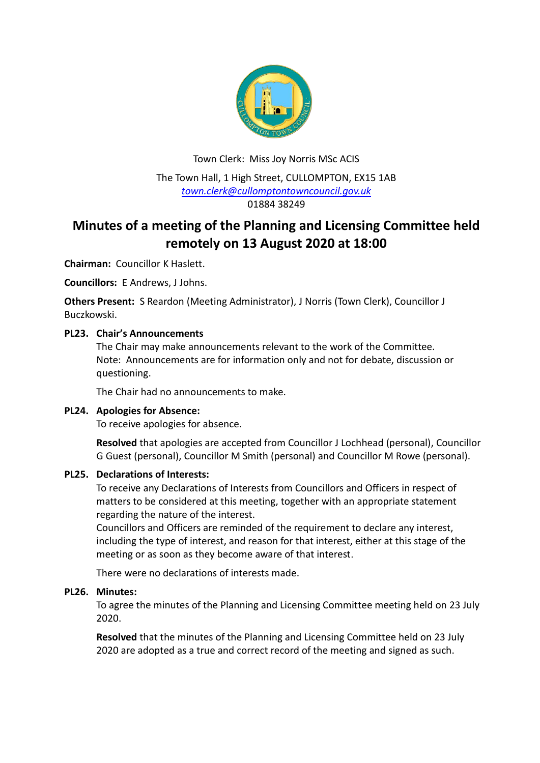

Town Clerk: Miss Joy Norris MSc ACIS The Town Hall, 1 High Street, CULLOMPTON, EX15 1AB *[town.clerk@cullomptontowncouncil.gov.uk](mailto:town.clerk@cullomptontowncouncil.gov.uk)* 01884 38249

# **Minutes of a meeting of the Planning and Licensing Committee held remotely on 13 August 2020 at 18:00**

**Chairman:** Councillor K Haslett.

**Councillors:** E Andrews, J Johns.

**Others Present:** S Reardon (Meeting Administrator), J Norris (Town Clerk), Councillor J Buczkowski.

# **PL23. Chair's Announcements**

The Chair may make announcements relevant to the work of the Committee. Note: Announcements are for information only and not for debate, discussion or questioning.

The Chair had no announcements to make.

#### **PL24. Apologies for Absence:**

To receive apologies for absence.

**Resolved** that apologies are accepted from Councillor J Lochhead (personal), Councillor G Guest (personal), Councillor M Smith (personal) and Councillor M Rowe (personal).

#### **PL25. Declarations of Interests:**

To receive any Declarations of Interests from Councillors and Officers in respect of matters to be considered at this meeting, together with an appropriate statement regarding the nature of the interest.

Councillors and Officers are reminded of the requirement to declare any interest, including the type of interest, and reason for that interest, either at this stage of the meeting or as soon as they become aware of that interest.

There were no declarations of interests made.

# **PL26. Minutes:**

To agree the minutes of the Planning and Licensing Committee meeting held on 23 July 2020.

**Resolved** that the minutes of the Planning and Licensing Committee held on 23 July 2020 are adopted as a true and correct record of the meeting and signed as such.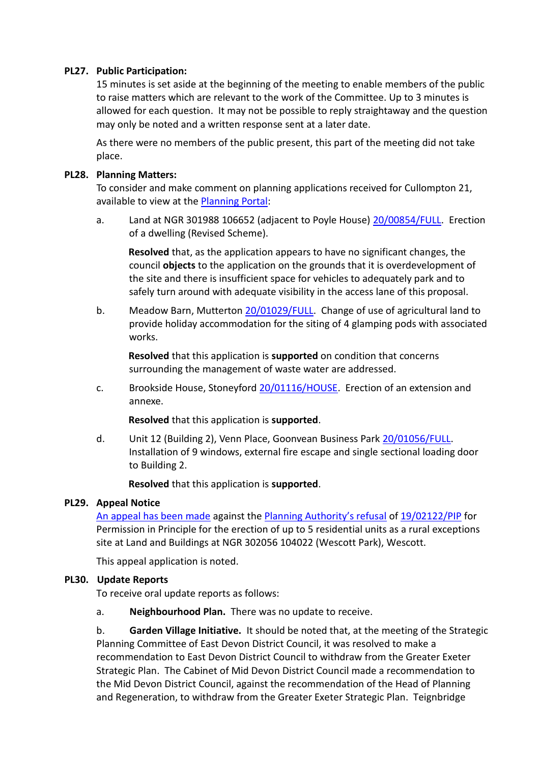### **PL27. Public Participation:**

15 minutes is set aside at the beginning of the meeting to enable members of the public to raise matters which are relevant to the work of the Committee. Up to 3 minutes is allowed for each question. It may not be possible to reply straightaway and the question may only be noted and a written response sent at a later date.

As there were no members of the public present, this part of the meeting did not take place.

#### **PL28. Planning Matters:**

To consider and make comment on planning applications received for Cullompton 21, available to view at the [Planning Portal:](https://planning.middevon.gov.uk/online-applications/search.do?action=simple&searchType=BuildingControl)

a. Land at NGR 301988 106652 (adjacent to Poyle House) [20/00854/FULL.](https://planning.middevon.gov.uk/online-applications/applicationDetails.do?activeTab=documents&keyVal=QBPGQ2KS07T00) Erection of a dwelling (Revised Scheme).

**Resolved** that, as the application appears to have no significant changes, the council **objects** to the application on the grounds that it is overdevelopment of the site and there is insufficient space for vehicles to adequately park and to safely turn around with adequate visibility in the access lane of this proposal.

b. Meadow Barn, Mutterton [20/01029/FULL.](https://planning.middevon.gov.uk/online-applications/applicationDetails.do?activeTab=documents&keyVal=QDEIUNKS04G00) Change of use of agricultural land to provide holiday accommodation for the siting of 4 glamping pods with associated works.

**Resolved** that this application is **supported** on condition that concerns surrounding the management of waste water are addressed.

c. Brookside House, Stoneyford [20/01116/HOUSE.](https://planning.middevon.gov.uk/online-applications/applicationDetails.do?activeTab=documents&keyVal=QDV5JCKS04G00)Erection of an extension and annexe.

**Resolved** that this application is **supported**.

d. Unit 12 (Building 2), Venn Place, Goonvean Business Park [20/01056/FULL.](https://planning.middevon.gov.uk/online-applications/applicationDetails.do?activeTab=documents&keyVal=QDK2EZKS04G00) Installation of 9 windows, external fire escape and single sectional loading door to Building 2.

**Resolved** that this application is **supported**.

# **PL29. Appeal Notice**

[An appeal has been made](https://planning.middevon.gov.uk/online-applications/files/9ABAA368A319180B5F7E9F737F769879/pdf/19_02122_PIP-Appeal_form-1631771.pdf) against the [Planning Authority's refusal](https://planning.middevon.gov.uk/online-applications/files/1CD9CA9F55357F4A29EBC621B89DAF18/pdf/19_02122_PIP-Decision_Notice-1578342.pdf) o[f 19/02122/PIP](https://planning.middevon.gov.uk/online-applications/applicationDetails.do?activeTab=documents&keyVal=Q2T0FGKS07T00) for Permission in Principle for the erection of up to 5 residential units as a rural exceptions site at Land and Buildings at NGR 302056 104022 (Wescott Park), Wescott.

This appeal application is noted.

#### **PL30. Update Reports**

To receive oral update reports as follows:

a. **Neighbourhood Plan.** There was no update to receive.

b. **Garden Village Initiative.** It should be noted that, at the meeting of the Strategic Planning Committee of East Devon District Council, it was resolved to make a recommendation to East Devon District Council to withdraw from the Greater Exeter Strategic Plan. The Cabinet of Mid Devon District Council made a recommendation to the Mid Devon District Council, against the recommendation of the Head of Planning and Regeneration, to withdraw from the Greater Exeter Strategic Plan. Teignbridge